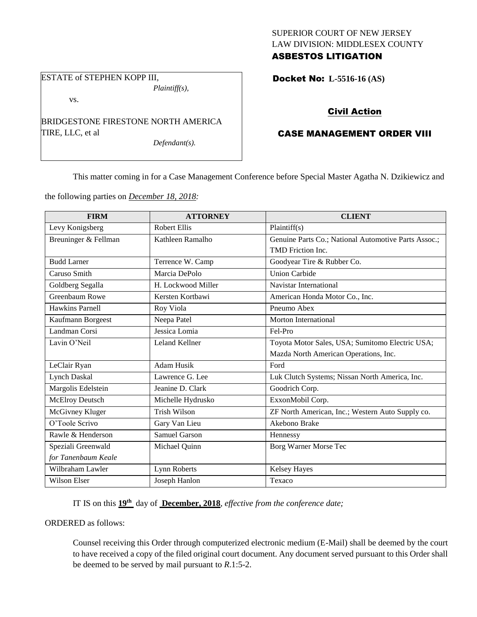## SUPERIOR COURT OF NEW JERSEY LAW DIVISION: MIDDLESEX COUNTY ASBESTOS LITIGATION

ESTATE of STEPHEN KOPP III, *Plaintiff(s),*

vs.

BRIDGESTONE FIRESTONE NORTH AMERICA TIRE, LLC, et al

*Defendant(s).*

Docket No: **L-5516-16 (AS)** 

# Civil Action

# CASE MANAGEMENT ORDER VIII

This matter coming in for a Case Management Conference before Special Master Agatha N. Dzikiewicz and

the following parties on *December 18, 2018:*

| <b>FIRM</b>            | <b>ATTORNEY</b>       | <b>CLIENT</b>                                        |
|------------------------|-----------------------|------------------------------------------------------|
| Levy Konigsberg        | <b>Robert Ellis</b>   | Plaintiff(s)                                         |
| Breuninger & Fellman   | Kathleen Ramalho      | Genuine Parts Co.; National Automotive Parts Assoc.; |
|                        |                       | TMD Friction Inc.                                    |
| <b>Budd Larner</b>     | Terrence W. Camp      | Goodyear Tire & Rubber Co.                           |
| Caruso Smith           | Marcia DePolo         | <b>Union Carbide</b>                                 |
| Goldberg Segalla       | H. Lockwood Miller    | Navistar International                               |
| Greenbaum Rowe         | Kersten Kortbawi      | American Honda Motor Co., Inc.                       |
| <b>Hawkins Parnell</b> | Roy Viola             | Pneumo Abex                                          |
| Kaufmann Borgeest      | Neepa Patel           | <b>Morton International</b>                          |
| Landman Corsi          | Jessica Lomia         | Fel-Pro                                              |
| Lavin O'Neil           | <b>Leland Kellner</b> | Toyota Motor Sales, USA; Sumitomo Electric USA;      |
|                        |                       | Mazda North American Operations, Inc.                |
| LeClair Ryan           | <b>Adam Husik</b>     | Ford                                                 |
| <b>Lynch Daskal</b>    | Lawrence G. Lee       | Luk Clutch Systems; Nissan North America, Inc.       |
| Margolis Edelstein     | Jeanine D. Clark      | Goodrich Corp.                                       |
| McElroy Deutsch        | Michelle Hydrusko     | ExxonMobil Corp.                                     |
| McGivney Kluger        | Trish Wilson          | ZF North American, Inc.; Western Auto Supply co.     |
| O'Toole Scrivo         | Gary Van Lieu         | Akebono Brake                                        |
| Rawle & Henderson      | Samuel Garson         | Hennessy                                             |
| Speziali Greenwald     | Michael Quinn         | Borg Warner Morse Tec                                |
| for Tanenbaum Keale    |                       |                                                      |
| Wilbraham Lawler       | Lynn Roberts          | Kelsey Hayes                                         |
| Wilson Elser           | Joseph Hanlon         | Texaco                                               |

IT IS on this **19th** day of **December, 2018**, *effective from the conference date;*

ORDERED as follows:

Counsel receiving this Order through computerized electronic medium (E-Mail) shall be deemed by the court to have received a copy of the filed original court document. Any document served pursuant to this Order shall be deemed to be served by mail pursuant to *R*.1:5-2.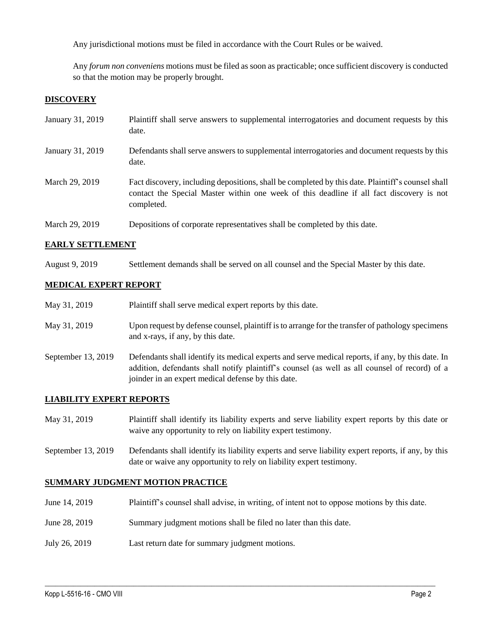Any jurisdictional motions must be filed in accordance with the Court Rules or be waived.

Any *forum non conveniens* motions must be filed as soon as practicable; once sufficient discovery is conducted so that the motion may be properly brought.

## **DISCOVERY**

| January 31, 2019 | Plaintiff shall serve answers to supplemental interrogatories and document requests by this<br>date.                                                                                                        |
|------------------|-------------------------------------------------------------------------------------------------------------------------------------------------------------------------------------------------------------|
| January 31, 2019 | Defendants shall serve answers to supplemental interrogatories and document requests by this<br>date.                                                                                                       |
| March 29, 2019   | Fact discovery, including depositions, shall be completed by this date. Plaintiff's counsel shall<br>contact the Special Master within one week of this deadline if all fact discovery is not<br>completed. |
| March 29, 2019   | Depositions of corporate representatives shall be completed by this date.                                                                                                                                   |

### **EARLY SETTLEMENT**

August 9, 2019 Settlement demands shall be served on all counsel and the Special Master by this date.

### **MEDICAL EXPERT REPORT**

| May 31, 2019       | Plaintiff shall serve medical expert reports by this date.                                                                                                                                                                                               |
|--------------------|----------------------------------------------------------------------------------------------------------------------------------------------------------------------------------------------------------------------------------------------------------|
| May 31, 2019       | Upon request by defense counsel, plaintiff is to arrange for the transfer of pathology specimens<br>and x-rays, if any, by this date.                                                                                                                    |
| September 13, 2019 | Defendants shall identify its medical experts and serve medical reports, if any, by this date. In<br>addition, defendants shall notify plaintiff's counsel (as well as all counsel of record) of a<br>joinder in an expert medical defense by this date. |

#### **LIABILITY EXPERT REPORTS**

- May 31, 2019 Plaintiff shall identify its liability experts and serve liability expert reports by this date or waive any opportunity to rely on liability expert testimony.
- September 13, 2019 Defendants shall identify its liability experts and serve liability expert reports, if any, by this date or waive any opportunity to rely on liability expert testimony.

## **SUMMARY JUDGMENT MOTION PRACTICE**

June 14, 2019 Plaintiff's counsel shall advise, in writing, of intent not to oppose motions by this date.

 $\_$  ,  $\_$  ,  $\_$  ,  $\_$  ,  $\_$  ,  $\_$  ,  $\_$  ,  $\_$  ,  $\_$  ,  $\_$  ,  $\_$  ,  $\_$  ,  $\_$  ,  $\_$  ,  $\_$  ,  $\_$  ,  $\_$  ,  $\_$  ,  $\_$  ,  $\_$  ,  $\_$  ,  $\_$  ,  $\_$  ,  $\_$  ,  $\_$  ,  $\_$  ,  $\_$  ,  $\_$  ,  $\_$  ,  $\_$  ,  $\_$  ,  $\_$  ,  $\_$  ,  $\_$  ,  $\_$  ,  $\_$  ,  $\_$  ,

- June 28, 2019 Summary judgment motions shall be filed no later than this date.
- July 26, 2019 Last return date for summary judgment motions.